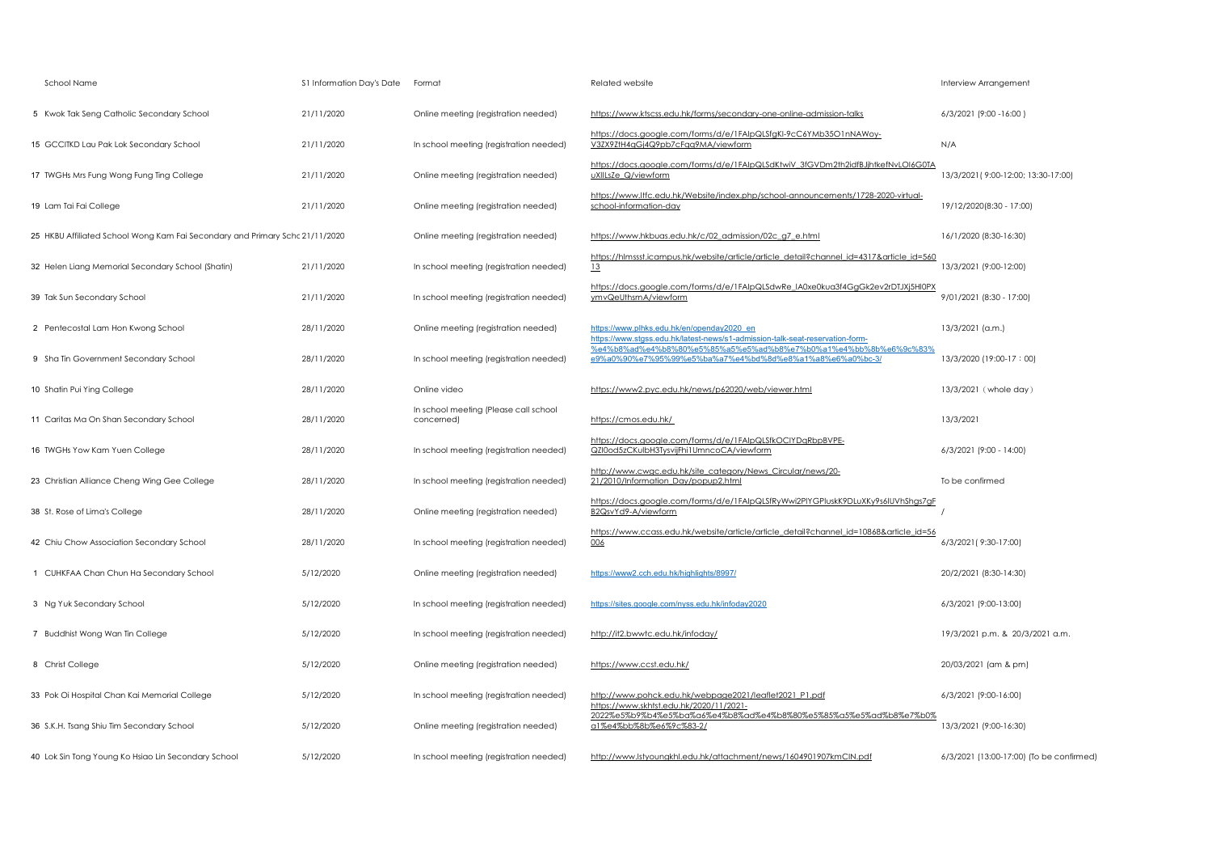| School Name                                                                  | S1 Information Day's Date | Format                                              | Related website                                                                                                              | Interview Arrangement                    |
|------------------------------------------------------------------------------|---------------------------|-----------------------------------------------------|------------------------------------------------------------------------------------------------------------------------------|------------------------------------------|
| 5 Kwok Tak Seng Catholic Secondary School                                    | 21/11/2020                | Online meeting (registration needed)                | https://www.ktscss.edu.hk/forms/secondary-one-online-admission-talks                                                         | 6/3/2021 (9:00 -16:00)                   |
| 15 GCCITKD Lau Pak Lok Secondary School                                      | 21/11/2020                | In school meeting (registration needed)             | https://docs.google.com/forms/d/e/1FAlpQLSfgKI-9cC6YMb35O1nNAWoy-<br>V3ZX9ZtH4qGj4Q9pb7cFqq9MA/viewform                      | N/A                                      |
| 17 TWGHs Mrs Fung Wong Fung Ting College                                     | 21/11/2020                | Online meeting (registration needed)                | https://docs.google.com/forms/d/e/1FAIpQLSdKtwiV_3fGVDm2th2idfBJjhtkefNvLOI6G0TA<br>uXIILsZe Q/viewform                      | 13/3/2021 (9:00-12:00; 13:30-17:00)      |
| 19 Lam Tai Fai College                                                       | 21/11/2020                | Online meeting (registration needed)                | https://www.ltfc.edu.hk/Website/index.php/school-announcements/1728-2020-virtual-<br>school-information-day                  | 19/12/2020(8:30 - 17:00)                 |
| 25 HKBU Affiliated School Wong Kam Fai Secondary and Primary Schc 21/11/2020 |                           | Online meeting (registration needed)                | https://www.hkbuas.edu.hk/c/02 admission/02c g7 e.html                                                                       | 16/1/2020 (8:30-16:30)                   |
| 32 Helen Liang Memorial Secondary School (Shatin)                            | 21/11/2020                | In school meeting (registration needed)             | https://hlmssst.icampus.hk/website/article/article detail?channel_id=4317&article_id=560<br>13                               | 13/3/2021 (9:00-12:00)                   |
| 39 Tak Sun Secondary School                                                  | 21/11/2020                | In school meeting (registration needed)             | https://docs.google.com/forms/d/e/1FAIpQLSdwRe_IA0xe0kua3f4GgGk2ev2rDTJXj5Hl0PX<br>ymvQeUthsmA/viewform                      | 9/01/2021 (8:30 - 17:00)                 |
| 2 Pentecostal Lam Hon Kwong School                                           | 28/11/2020                | Online meeting (registration needed)                | https://www.plhks.edu.hk/en/openday2020 en<br>https://www.stgss.edu.hk/latest-news/s1-admission-talk-seat-reservation-form-  | 13/3/2021 (a.m.)                         |
| 9 Sha Tin Government Secondary School                                        | 28/11/2020                | In school meeting (registration needed)             | %e4%b8%ad%e4%b8%80%e5%85%a5%e5%ad%b8%e7%b0%a1%e4%bb%8b%e6%9c%83%<br>e9%a0%90%e7%95%99%e5%ba%a7%e4%bd%8d%e8%a1%a8%e6%a0%bc-3/ | 13/3/2020 (19:00-17:00)                  |
| 10 Shatin Pui Ying College                                                   | 28/11/2020                | Online video                                        | https://www2.pyc.edu.hk/news/p62020/web/viewer.html                                                                          | 13/3/2021 (whole day)                    |
| 11 Caritas Ma On Shan Secondary School                                       | 28/11/2020                | In school meeting (Please call school<br>concerned) | https://cmos.edu.hk/                                                                                                         | 13/3/2021                                |
| 16 TWGHs Yow Kam Yuen College                                                | 28/11/2020                | In school meeting (registration needed)             | https://docs.google.com/forms/d/e/1FAlpQLSfkOCIYDqRbpBVPE-<br>QZI0od5zCKuIbH3TysvijFhi1UmncoCA/viewform                      | 6/3/2021 (9:00 - 14:00)                  |
| 23 Christian Alliance Cheng Wing Gee College                                 | 28/11/2020                | In school meeting (registration needed)             | http://www.cwgc.edu.hk/site_category/News_Circular/news/20-<br>21/2010/Information_Day/popup2.html                           | To be confirmed                          |
| 38 St. Rose of Lima's College                                                | 28/11/2020                | Online meeting (registration needed)                | https://docs.google.com/forms/d/e/1FAlpQLSfRyWwi2PIYGPluskK9DLuXKy9s6IUVhShgs7gF<br>B2QsvYd9-A/viewform                      |                                          |
| 42 Chiu Chow Association Secondary School                                    | 28/11/2020                | In school meeting (registration needed)             | https://www.ccass.edu.hk/website/article/article detail?channel_id=10868&article_id=56<br>006                                | 6/3/2021 (9:30-17:00)                    |
| 1 CUHKFAA Chan Chun Ha Secondary School                                      | 5/12/2020                 | Online meeting (registration needed)                | https://www2.cch.edu.hk/highlights/8997/                                                                                     | 20/2/2021 (8:30-14:30)                   |
| 3 Ng Yuk Secondary School                                                    | 5/12/2020                 | In school meeting (registration needed)             | https://sites.google.com/nyss.edu.hk/infoday2020                                                                             | 6/3/2021 (9:00-13:00)                    |
| 7 Buddhist Wong Wan Tin College                                              | 5/12/2020                 | In school meeting (registration needed)             | http://it2.bwwtc.edu.hk/infoday/                                                                                             | 19/3/2021 p.m. & 20/3/2021 a.m.          |
| 8 Christ College                                                             | 5/12/2020                 | Online meeting (registration needed)                | https://www.ccst.edu.hk/                                                                                                     | 20/03/2021 (am & pm)                     |
| 33 Pok Oi Hospital Chan Kai Memorial College                                 | 5/12/2020                 | In school meeting (registration needed)             | http://www.pohck.edu.hk/webpage2021/leaflet2021_P1.pdf<br>https://www.skhtst.edu.hk/2020/11/2021-                            | 6/3/2021 (9:00-16:00)                    |
| 36 S.K.H. Tsang Shiu Tim Secondary School                                    | 5/12/2020                 | Online meeting (registration needed)                | 2022%e5%b9%b4%e5%ba%a6%e4%b8%ad%e4%b8%80%e5%85%a5%e5%ad%b8%e7%b0%<br>a1%e4%bb%8b%e6%9c%83-2/                                 | 13/3/2021 (9:00-16:30)                   |
| 40 Lok Sin Tong Young Ko Hsiao Lin Secondary School                          | 5/12/2020                 | In school meeting (registration needed)             | http://www.lstyoungkhl.edu.hk/attachment/news/1604901907kmClN.pdf                                                            | 6/3/2021 (13:00-17:00) (To be confirmed) |